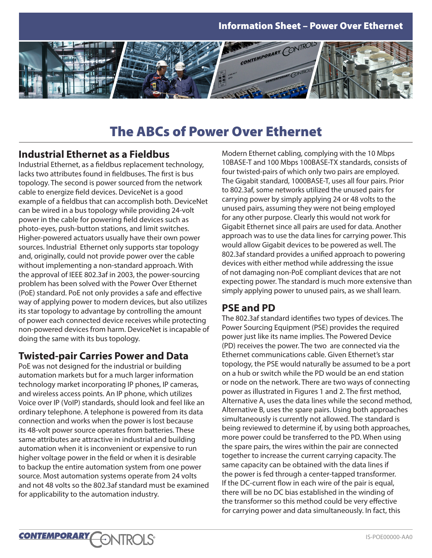

# The ABCs of Power Over Ethernet

#### **Industrial Ethernet as a Fieldbus**

Industrial Ethernet, as a fieldbus replacement technology, lacks two attributes found in fieldbuses. The first is bus topology. The second is power sourced from the network cable to energize field devices. DeviceNet is a good example of a fieldbus that can accomplish both. DeviceNet can be wired in a bus topology while providing 24-volt power in the cable for powering field devices such as photo-eyes, push-button stations, and limit switches. Higher-powered actuators usually have their own power sources. Industrial Ethernet only supports star topology and, originally, could not provide power over the cable without implementing a non-standard approach. With the approval of IEEE 802.3af in 2003, the power-sourcing problem has been solved with the Power Over Ethernet (PoE) standard. PoE not only provides a safe and effective way of applying power to modern devices, but also utilizes its star topology to advantage by controlling the amount of power each connected device receives while protecting non-powered devices from harm. DeviceNet is incapable of doing the same with its bus topology.

# **Twisted-pair Carries Power and Data**

PoE was not designed for the industrial or building automation markets but for a much larger information technology market incorporating IP phones, IP cameras, and wireless access points. An IP phone, which utilizes Voice over IP (VoIP) standards, should look and feel like an ordinary telephone. A telephone is powered from its data connection and works when the power is lost because its 48-volt power source operates from batteries. These same attributes are attractive in industrial and building automation when it is inconvenient or expensive to run higher voltage power in the field or when it is desirable to backup the entire automation system from one power source. Most automation systems operate from 24 volts and not 48 volts so the 802.3af standard must be examined for applicability to the automation industry.

**FONTROLS®** 

**CONTEMPORARY** 

Modern Ethernet cabling, complying with the 10 Mbps 10BASE-T and 100 Mbps 100BASE-TX standards, consists of four twisted-pairs of which only two pairs are employed. The Gigabit standard, 1000BASE-T, uses all four pairs. Prior to 802.3af, some networks utilized the unused pairs for carrying power by simply applying 24 or 48 volts to the unused pairs, assuming they were not being employed for any other purpose. Clearly this would not work for Gigabit Ethernet since all pairs are used for data. Another approach was to use the data lines for carrying power. This would allow Gigabit devices to be powered as well. The 802.3af standard provides a unified approach to powering devices with either method while addressing the issue of not damaging non-PoE compliant devices that are not expecting power. The standard is much more extensive than simply applying power to unused pairs, as we shall learn.

# **PSE and PD**

The 802.3af standard identifies two types of devices. The Power Sourcing Equipment (PSE) provides the required power just like its name implies. The Powered Device (PD) receives the power. The two are connected via the Ethernet communications cable. Given Ethernet's star topology, the PSE would naturally be assumed to be a port on a hub or switch while the PD would be an end station or node on the network. There are two ways of connecting power as illustrated in Figures 1 and 2. The first method, Alternative A, uses the data lines while the second method, Alternative B, uses the spare pairs. Using both approaches simultaneously is currently not allowed. The standard is being reviewed to determine if, by using both approaches, more power could be transferred to the PD. When using the spare pairs, the wires within the pair are connected together to increase the current carrying capacity. The same capacity can be obtained with the data lines if the power is fed through a center-tapped transformer. If the DC-current flow in each wire of the pair is equal, there will be no DC bias established in the winding of the transformer so this method could be very effective for carrying power and data simultaneously. In fact, this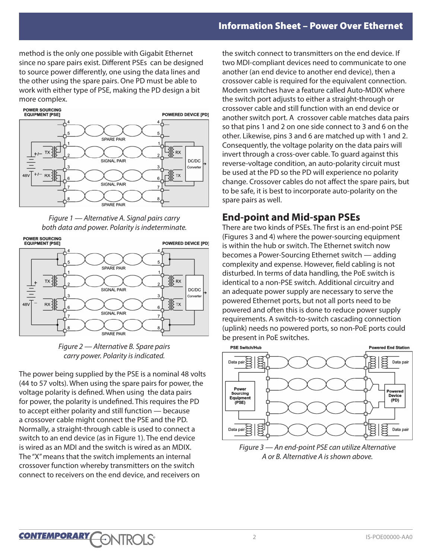method is the only one possible with Gigabit Ethernet since no spare pairs exist. Different PSEs can be designed to source power differently, one using the data lines and the other using the spare pairs. One PD must be able to work with either type of PSE, making the PD design a bit more complex.



*Figure 1 — Alternative A. Signal pairs carry both data and power. Polarity is indeterminate.*





The power being supplied by the PSE is a nominal 48 volts (44 to 57 volts). When using the spare pairs for power, the voltage polarity is defined. When using the data pairs for power, the polarity is undefined. This requires the PD to accept either polarity and still function — because a crossover cable might connect the PSE and the PD. Normally, a straight-through cable is used to connect a switch to an end device (as in Figure 1). The end device is wired as an MDI and the switch is wired as an MDIX. The "X" means that the switch implements an internal crossover function whereby transmitters on the switch connect to receivers on the end device, and receivers on

the switch connect to transmitters on the end device. If two MDI-compliant devices need to communicate to one another (an end device to another end device), then a crossover cable is required for the equivalent connection. Modern switches have a feature called Auto-MDIX where the switch port adjusts to either a straight-through or crossover cable and still function with an end device or another switch port. A crossover cable matches data pairs so that pins 1 and 2 on one side connect to 3 and 6 on the other. Likewise, pins 3 and 6 are matched up with 1 and 2. Consequently, the voltage polarity on the data pairs will invert through a cross-over cable. To guard against this reverse-voltage condition, an auto-polarity circuit must be used at the PD so the PD will experience no polarity change. Crossover cables do not affect the spare pairs, but to be safe, it is best to incorporate auto-polarity on the spare pairs as well.

### **End-point and Mid-span PSEs**

There are two kinds of PSEs. The first is an end-point PSE (Figures 3 and 4) where the power-sourcing equipment is within the hub or switch. The Ethernet switch now becomes a Power-Sourcing Ethernet switch — adding complexity and expense. However, field cabling is not disturbed. In terms of data handling, the PoE switch is identical to a non-PSE switch. Additional circuitry and an adequate power supply are necessary to serve the powered Ethernet ports, but not all ports need to be powered and often this is done to reduce power supply requirements. A switch-to-switch cascading connection (uplink) needs no powered ports, so non-PoE ports could be present in PoE switches.



*Figure 3 — An end-point PSE can utilize Alternative A or B. Alternative A is shown above.*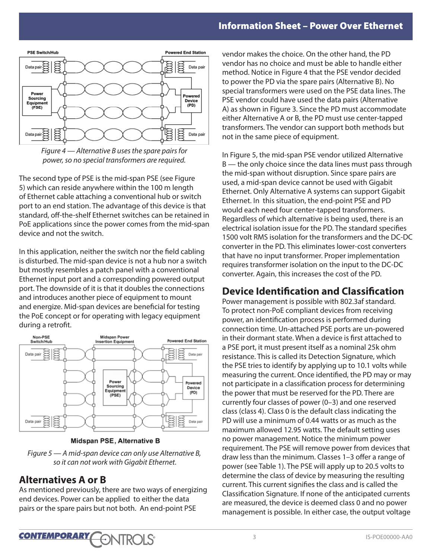



The second type of PSE is the mid-span PSE (see Figure 5) which can reside anywhere within the 100 m length of Ethernet cable attaching a conventional hub or switch port to an end station. The advantage of this device is that standard, off-the-shelf Ethernet switches can be retained in PoE applications since the power comes from the mid-span device and not the switch.

In this application, neither the switch nor the field cabling is disturbed. The mid-span device is not a hub nor a switch but mostly resembles a patch panel with a conventional Ethernet input port and a corresponding powered output port. The downside of it is that it doubles the connections and introduces another piece of equipment to mount and energize. Mid-span devices are beneficial for testing the PoE concept or for operating with legacy equipment during a retrofit.



Midspan PSE, Alternative B

*Figure 5 — A mid-span device can only use Alternative B, so it can not work with Gigabit Ethernet.*

#### **Alternatives A or B**

As mentioned previously, there are two ways of energizing end devices. Power can be applied to either the data pairs or the spare pairs but not both. An end-point PSE

vendor makes the choice. On the other hand, the PD vendor has no choice and must be able to handle either method. Notice in Figure 4 that the PSE vendor decided to power the PD via the spare pairs (Alternative B). No special transformers were used on the PSE data lines. The PSE vendor could have used the data pairs (Alternative A) as shown in Figure 3. Since the PD must accommodate either Alternative A or B, the PD must use center-tapped transformers. The vendor can support both methods but not in the same piece of equipment.

In Figure 5, the mid-span PSE vendor utilized Alternative B — the only choice since the data lines must pass through the mid-span without disruption. Since spare pairs are used, a mid-span device cannot be used with Gigabit Ethernet. Only Alternative A systems can support Gigabit Ethernet. In this situation, the end-point PSE and PD would each need four center-tapped transformers. Regardless of which alternative is being used, there is an electrical isolation issue for the PD. The standard specifies 1500 volt RMS isolation for the transformers and the DC-DC converter in the PD. This eliminates lower-cost converters that have no input transformer. Proper implementation requires transformer isolation on the input to the DC-DC converter. Again, this increases the cost of the PD.

### **Device Identification and Classification**

Power management is possible with 802.3af standard. To protect non-PoE compliant devices from receiving power, an identification process is performed during connection time. Un-attached PSE ports are un-powered in their dormant state. When a device is first attached to a PSE port, it must present itself as a nominal 25k ohm resistance. This is called its Detection Signature, which the PSE tries to identify by applying up to 10.1 volts while measuring the current. Once identified, the PD may or may not participate in a classification process for determining the power that must be reserved for the PD. There are currently four classes of power (0–3) and one reserved class (class 4). Class 0 is the default class indicating the PD will use a minimum of 0.44 watts or as much as the maximum allowed 12.95 watts. The default setting uses no power management. Notice the minimum power requirement. The PSE will remove power from devices that draw less than the minimum. Classes 1–3 offer a range of power (see Table 1). The PSE will apply up to 20.5 volts to determine the class of device by measuring the resulting current. This current signifies the class and is called the Classification Signature. If none of the anticipated currents are measured, the device is deemed class 0 and no power management is possible. In either case, the output voltage